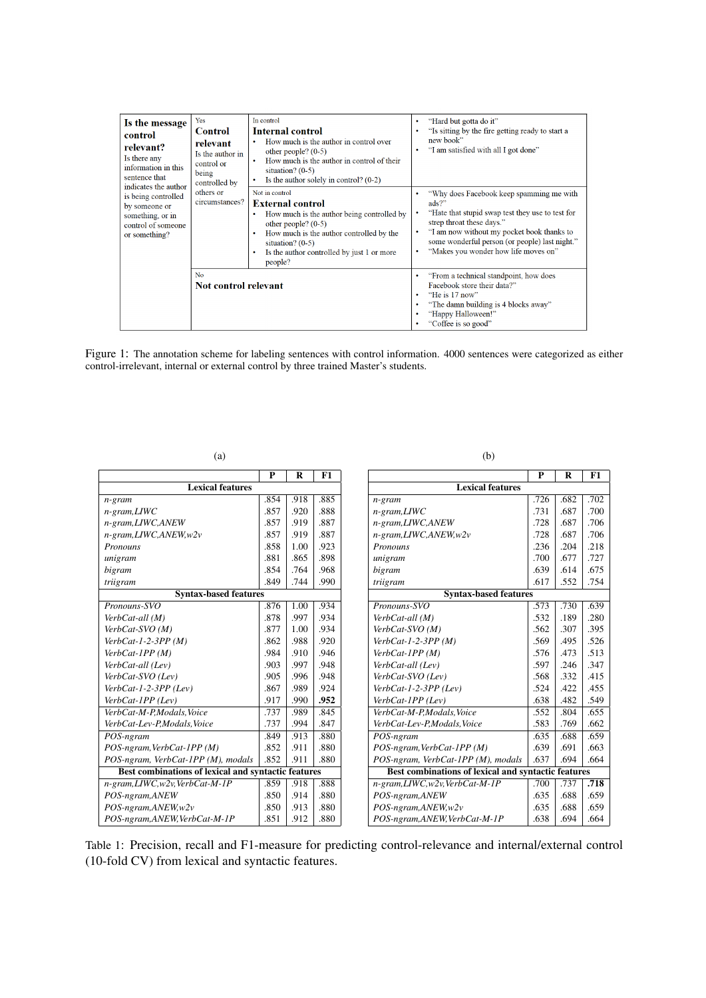| Is the message<br>control<br>relevant?<br>Is there any<br>information in this<br>sentence that<br>indicates the author<br>is being controlled<br>by someone or<br>something, or in<br>control of someone<br>or something? | Yes<br>Control<br>relevant<br>Is the author in<br>control or<br>being<br>controlled by<br>others or<br>circumstances? | In control<br><b>Internal control</b><br>How much is the author in control over<br>٠<br>other people? $(0-5)$<br>How much is the author in control of their<br>situation? $(0-5)$<br>Is the author solely in control? $(0-2)$                                              | "Hard but gotta do it"<br>٠<br>"Is sitting by the fire getting ready to start a<br>٠<br>new book"<br>"I am satisfied with all I got done"                                                                                                                                            |
|---------------------------------------------------------------------------------------------------------------------------------------------------------------------------------------------------------------------------|-----------------------------------------------------------------------------------------------------------------------|----------------------------------------------------------------------------------------------------------------------------------------------------------------------------------------------------------------------------------------------------------------------------|--------------------------------------------------------------------------------------------------------------------------------------------------------------------------------------------------------------------------------------------------------------------------------------|
|                                                                                                                                                                                                                           |                                                                                                                       | Not in control<br><b>External control</b><br>How much is the author being controlled by<br>٠<br>other people? $(0-5)$<br>How much is the author controlled by the<br>$\bullet$<br>situation? $(0-5)$<br>Is the author controlled by just 1 or more<br>$\bullet$<br>people? | "Why does Facebook keep spamming me with<br>ads?"<br>"Hate that stupid swap test they use to test for<br>٠<br>strep throat these days."<br>"I am now without my pocket book thanks to<br>some wonderful person (or people) last night."<br>"Makes you wonder how life moves on"<br>٠ |
|                                                                                                                                                                                                                           | No<br>Not control relevant                                                                                            |                                                                                                                                                                                                                                                                            | "From a technical standpoint, how does<br>٠<br>Facebook store their data?"<br>"He is 17 now"<br>٠<br>"The damn building is 4 blocks away"<br>٠<br>"Happy Halloween!"<br>"Coffee is so good"<br>٠                                                                                     |

Figure 1: The annotation scheme for labeling sentences with control information. 4000 sentences were categorized as either control-irrelevant, internal or external control by three trained Master's students.

(a)

 $P$  R F1 Lexical features *n-gram* .854 .918 .885 *n-gram,LIWC* .857 .920 .888 *n-gram,LIWC,ANEW* .857 .919 .887 *n-gram,LIWC,ANEW,w2v* .857 .919 .887 *Pronouns* .858 1.00 .923 *unigram* .881 .865 .898<br>*bigram* .854 .764 .968 *bigram* .854 .854 .968 *triigram* .849 .744 .990 Syntax-based features *Pronouns-SVO* .876 1.00 .934 *VerbCat-all (M)* .878 .997 .934<br>*VerbCat-SVO (M)* .877 1.00 .934 *VerbCat-SVO (M)* .877 1.00 .934<br>*VerbCat-1-2-3PP (M)* .862 .988 .920 *VerbCat-1-2-3PP (M)* .862 .988 .920<br>*VerbCat-1PP (M)* .984 .910 .946  $VerbCat-1PP(M)$ *VerbCat-all (Lev)* .903 .997 .948 *VerbCat-SVO (Lev)* .905 .996 .948<br>*VerbCat-1-2-3PP (Lev)* .867 .989 .924 *VerbCat-1-2-3PP (Lev)* .867 .989 .924<br>*VerbCat-1PP (Lev)* .917 .990 .952 *VerbCat-1PP (Lev)* .917 .990 .952<br>*VerbCat-M-P.Modals, Voice* .737 .989 .845 *VerbCat-M-P,Modals,Voice* .737 .989 *VerbCat-Lev-P,Modals,Voice* .737 .994 .847 *POS-ngram* .849 .913 .880 *POS-ngram, VerbCat-1PP (M)* .852 .911 .880<br>*POS-ngram, VerbCat-1PP (M), modals* .852 .911 .880 POS-ngram, VerbCat-1PP (M), modals Best combinations of lexical and syntactic features *n-gram,LIWC,w2v,VerbCat-M-1P* .859 .918 .888<br>*POS-ngram,ANEW* .850 .914 .880  $POS\text{-}ngram, ANEW$ *POS-ngram,ANEW,w2v* .850 .850 .913 .880<br>*POS-ngram,ANEW,VerbCat-M-1P* .851 .912 .880 *POS-ngram,ANEW,VerbCat-M-1P* .851

(b)

|                                                     | P    | R    | F1   |  |  |  |
|-----------------------------------------------------|------|------|------|--|--|--|
| <b>Lexical features</b>                             |      |      |      |  |  |  |
| $n$ -gram                                           | .726 | .682 | .702 |  |  |  |
| $n$ -gram, $LIWC$                                   | .731 | .687 | .700 |  |  |  |
| n-gram, LIWC, ANEW                                  | .728 | .687 | .706 |  |  |  |
| n-gram, LIWC, ANEW, w2v                             | .728 | .687 | .706 |  |  |  |
| <b>Pronouns</b>                                     | .236 | .204 | .218 |  |  |  |
| unigram                                             | .700 | .677 | .727 |  |  |  |
| bigram                                              | .639 | .614 | .675 |  |  |  |
| triigram                                            | .617 | .552 | .754 |  |  |  |
| <b>Syntax-based features</b>                        |      |      |      |  |  |  |
| Pronouns-SVO                                        | .573 | .730 | .639 |  |  |  |
| VerbCat-all (M)                                     | .532 | .189 | .280 |  |  |  |
| VerbCat-SVO (M)                                     | .562 | .307 | .395 |  |  |  |
| $VerbCat-1-2-3PP(M)$                                | .569 | .495 | .526 |  |  |  |
| $VerbCat-IPP(M)$                                    | .576 | .473 | .513 |  |  |  |
| VerbCat-all (Lev)                                   | .597 | .246 | .347 |  |  |  |
| VerbCat-SVO (Lev)                                   | .568 | .332 | .415 |  |  |  |
| $VerbCat-1-2-3PP$ (Lev)                             | .524 | .422 | .455 |  |  |  |
| VerbCat-1PP (Lev)                                   | .638 | .482 | .549 |  |  |  |
| VerbCat-M-P,Modals, Voice                           | .552 | .804 | .655 |  |  |  |
| VerbCat-Lev-P,Modals, Voice                         | .583 | .769 | .662 |  |  |  |
| POS-ngram                                           | .635 | .688 | .659 |  |  |  |
| POS-ngram, VerbCat-1PP (M)                          | .639 | .691 | .663 |  |  |  |
| POS-ngram, VerbCat-1PP (M), modals                  | .637 | .694 | .664 |  |  |  |
| Best combinations of lexical and syntactic features |      |      |      |  |  |  |
| n-gram, LIWC, w2v, VerbCat-M-1P                     | .700 | .737 | .718 |  |  |  |
| POS-ngram, ANEW                                     | .635 | .688 | .659 |  |  |  |
| $POS$ -ngram, $ANEW$ , $w2v$                        | .635 | .688 | .659 |  |  |  |
| POS-ngram, ANEW, VerbCat-M-1P                       | .638 | .694 | .664 |  |  |  |

Table 1: Precision, recall and F1-measure for predicting control-relevance and internal/external control (10-fold CV) from lexical and syntactic features.